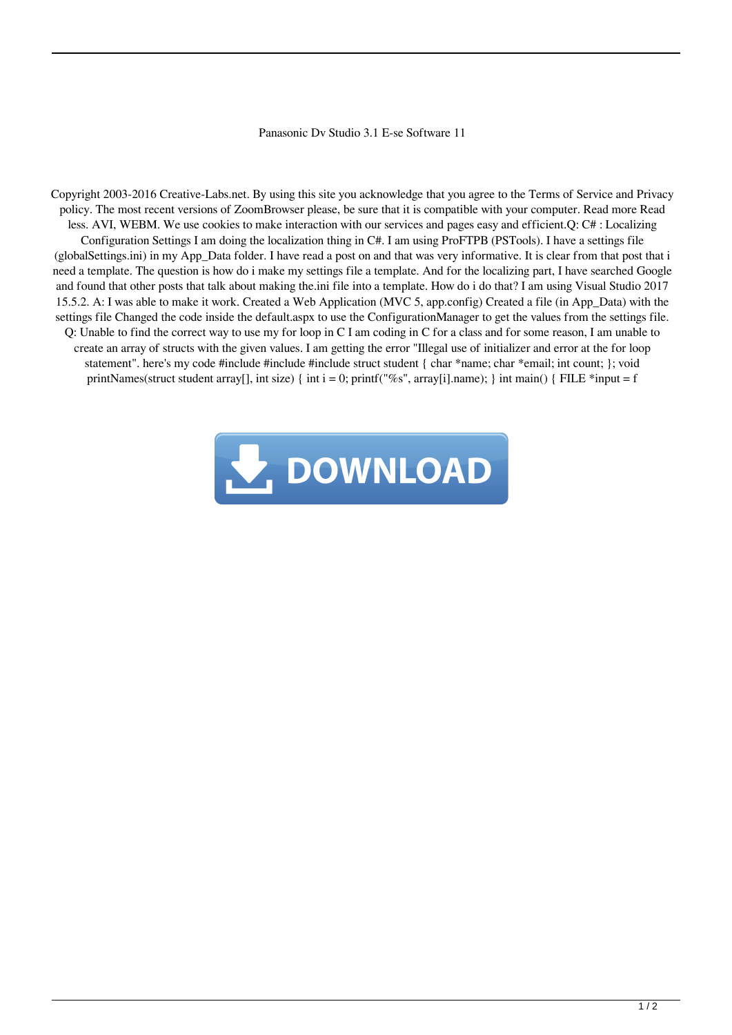## Panasonic Dv Studio 3.1 E-se Software 11

Copyright 2003-2016 Creative-Labs.net. By using this site you acknowledge that you agree to the Terms of Service and Privacy policy. The most recent versions of ZoomBrowser please, be sure that it is compatible with your computer. Read more Read less. AVI, WEBM. We use cookies to make interaction with our services and pages easy and efficient.Q: C# : Localizing Configuration Settings I am doing the localization thing in C#. I am using ProFTPB (PSTools). I have a settings file (globalSettings.ini) in my App\_Data folder. I have read a post on and that was very informative. It is clear from that post that i need a template. The question is how do i make my settings file a template. And for the localizing part, I have searched Google and found that other posts that talk about making the.ini file into a template. How do i do that? I am using Visual Studio 2017 15.5.2. A: I was able to make it work. Created a Web Application (MVC 5, app.config) Created a file (in App\_Data) with the settings file Changed the code inside the default.aspx to use the ConfigurationManager to get the values from the settings file. Q: Unable to find the correct way to use my for loop in C I am coding in C for a class and for some reason, I am unable to create an array of structs with the given values. I am getting the error "Illegal use of initializer and error at the for loop statement". here's my code #include #include #include struct student { char \*name; char \*email; int count; }; void printNames(struct student array[], int size) { int i = 0; printf("%s", array[i].name); } int main() { FILE \*input = f